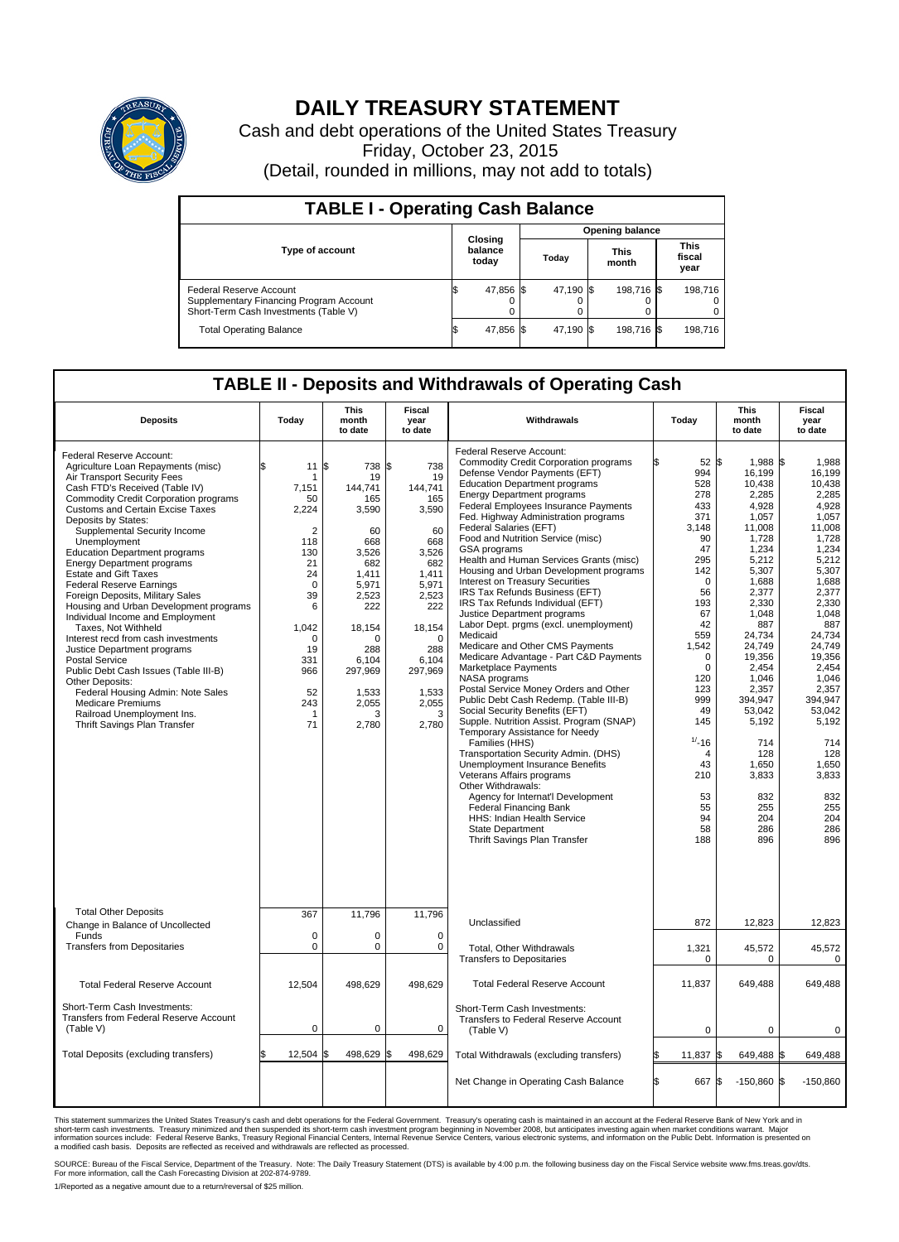

## **DAILY TREASURY STATEMENT**

Cash and debt operations of the United States Treasury Friday, October 23, 2015 (Detail, rounded in millions, may not add to totals)

| <b>TABLE I - Operating Cash Balance</b>                                                                     |                             |           |       |                        |                      |            |                               |         |  |  |  |
|-------------------------------------------------------------------------------------------------------------|-----------------------------|-----------|-------|------------------------|----------------------|------------|-------------------------------|---------|--|--|--|
|                                                                                                             |                             |           |       | <b>Opening balance</b> |                      |            |                               |         |  |  |  |
| <b>Type of account</b>                                                                                      | Closing<br>balance<br>today |           | Today |                        | <b>This</b><br>month |            | <b>This</b><br>fiscal<br>year |         |  |  |  |
| Federal Reserve Account<br>Supplementary Financing Program Account<br>Short-Term Cash Investments (Table V) |                             | 47,856 \$ |       | 47,190 \$              |                      | 198,716 \$ |                               | 198.716 |  |  |  |
| <b>Total Operating Balance</b>                                                                              | S,                          | 47,856 \$ |       | 47,190 \$              |                      | 198,716 \$ |                               | 198,716 |  |  |  |

## **TABLE II - Deposits and Withdrawals of Operating Cash**

| <b>Deposits</b>                                                                                                                                                                                                                                                                                                                                                                                                                                                                                                                                                                                                                                                                                                                                                                                                                                                 | Today                                                                                                                                                                    | <b>This</b><br>month<br>to date                                                                                                                                                      | <b>Fiscal</b><br>year<br>to date                                                                                                                                                            | Withdrawals                                                                                                                                                                                                                                                                                                                                                                                                                                                                                                                                                                                                                                                                                                                                                                                                                                                                                                                                                                                                                                                                                                                                                                                                                                                                      | Today                                                                                                                                                                                                                                                                          | <b>This</b><br>month<br>to date                                                                                                                                                                                                                                                                            | <b>Fiscal</b><br>year<br>to date                                                                                                                                                                                                                                                                        |
|-----------------------------------------------------------------------------------------------------------------------------------------------------------------------------------------------------------------------------------------------------------------------------------------------------------------------------------------------------------------------------------------------------------------------------------------------------------------------------------------------------------------------------------------------------------------------------------------------------------------------------------------------------------------------------------------------------------------------------------------------------------------------------------------------------------------------------------------------------------------|--------------------------------------------------------------------------------------------------------------------------------------------------------------------------|--------------------------------------------------------------------------------------------------------------------------------------------------------------------------------------|---------------------------------------------------------------------------------------------------------------------------------------------------------------------------------------------|----------------------------------------------------------------------------------------------------------------------------------------------------------------------------------------------------------------------------------------------------------------------------------------------------------------------------------------------------------------------------------------------------------------------------------------------------------------------------------------------------------------------------------------------------------------------------------------------------------------------------------------------------------------------------------------------------------------------------------------------------------------------------------------------------------------------------------------------------------------------------------------------------------------------------------------------------------------------------------------------------------------------------------------------------------------------------------------------------------------------------------------------------------------------------------------------------------------------------------------------------------------------------------|--------------------------------------------------------------------------------------------------------------------------------------------------------------------------------------------------------------------------------------------------------------------------------|------------------------------------------------------------------------------------------------------------------------------------------------------------------------------------------------------------------------------------------------------------------------------------------------------------|---------------------------------------------------------------------------------------------------------------------------------------------------------------------------------------------------------------------------------------------------------------------------------------------------------|
| Federal Reserve Account:<br>Agriculture Loan Repayments (misc)<br>Air Transport Security Fees<br>Cash FTD's Received (Table IV)<br>Commodity Credit Corporation programs<br>Customs and Certain Excise Taxes<br>Deposits by States:<br>Supplemental Security Income<br>Unemployment<br><b>Education Department programs</b><br><b>Energy Department programs</b><br><b>Estate and Gift Taxes</b><br><b>Federal Reserve Earnings</b><br>Foreign Deposits, Military Sales<br>Housing and Urban Development programs<br>Individual Income and Employment<br>Taxes. Not Withheld<br>Interest recd from cash investments<br>Justice Department programs<br>Postal Service<br>Public Debt Cash Issues (Table III-B)<br>Other Deposits:<br>Federal Housing Admin: Note Sales<br><b>Medicare Premiums</b><br>Railroad Unemployment Ins.<br>Thrift Savings Plan Transfer | \$<br>11<br>7,151<br>50<br>2,224<br>$\overline{2}$<br>118<br>130<br>21<br>24<br>$\mathbf 0$<br>39<br>6<br>1,042<br>$\Omega$<br>19<br>331<br>966<br>52<br>243<br>-1<br>71 | l\$<br>738<br>19<br>144,741<br>165<br>3,590<br>60<br>668<br>3.526<br>682<br>1.411<br>5,971<br>2,523<br>222<br>18,154<br>n<br>288<br>6,104<br>297,969<br>1,533<br>2,055<br>з<br>2,780 | l\$<br>738<br>19<br>144,741<br>165<br>3,590<br>60<br>668<br>3.526<br>682<br>1.411<br>5,971<br>2,523<br>222<br>18,154<br>$\Omega$<br>288<br>6,104<br>297,969<br>1,533<br>2,055<br>3<br>2,780 | Federal Reserve Account:<br><b>Commodity Credit Corporation programs</b><br>Defense Vendor Payments (EFT)<br><b>Education Department programs</b><br><b>Energy Department programs</b><br>Federal Employees Insurance Payments<br>Fed. Highway Administration programs<br>Federal Salaries (EFT)<br>Food and Nutrition Service (misc)<br>GSA programs<br>Health and Human Services Grants (misc)<br>Housing and Urban Development programs<br>Interest on Treasury Securities<br>IRS Tax Refunds Business (EFT)<br>IRS Tax Refunds Individual (EFT)<br>Justice Department programs<br>Labor Dept. prgms (excl. unemployment)<br>Medicaid<br>Medicare and Other CMS Payments<br>Medicare Advantage - Part C&D Payments<br>Marketplace Payments<br>NASA programs<br>Postal Service Money Orders and Other<br>Public Debt Cash Redemp. (Table III-B)<br>Social Security Benefits (EFT)<br>Supple. Nutrition Assist. Program (SNAP)<br>Temporary Assistance for Needy<br>Families (HHS)<br>Transportation Security Admin. (DHS)<br>Unemployment Insurance Benefits<br>Veterans Affairs programs<br>Other Withdrawals:<br>Agency for Internat'l Development<br><b>Federal Financing Bank</b><br>HHS: Indian Health Service<br><b>State Department</b><br>Thrift Savings Plan Transfer | 52 \$<br>994<br>528<br>278<br>433<br>371<br>3,148<br>90<br>47<br>295<br>142<br>$\mathbf 0$<br>56<br>193<br>67<br>42<br>559<br>1,542<br>$\mathbf 0$<br>$\mathbf 0$<br>120<br>123<br>999<br>49<br>145<br>$1/ - 16$<br>$\overline{4}$<br>43<br>210<br>53<br>55<br>94<br>58<br>188 | 1.988 \$<br>16,199<br>10.438<br>2,285<br>4,928<br>1,057<br>11,008<br>1,728<br>1,234<br>5,212<br>5,307<br>1,688<br>2,377<br>2,330<br>1,048<br>887<br>24,734<br>24,749<br>19,356<br>2,454<br>1.046<br>2,357<br>394,947<br>53,042<br>5,192<br>714<br>128<br>1,650<br>3,833<br>832<br>255<br>204<br>286<br>896 | 1.988<br>16,199<br>10.438<br>2,285<br>4,928<br>1,057<br>11,008<br>1,728<br>1,234<br>5.212<br>5,307<br>1,688<br>2,377<br>2,330<br>1,048<br>887<br>24.734<br>24.749<br>19,356<br>2,454<br>1.046<br>2,357<br>394,947<br>53,042<br>5,192<br>714<br>128<br>1,650<br>3,833<br>832<br>255<br>204<br>286<br>896 |
| <b>Total Other Deposits</b><br>Change in Balance of Uncollected                                                                                                                                                                                                                                                                                                                                                                                                                                                                                                                                                                                                                                                                                                                                                                                                 | 367                                                                                                                                                                      | 11,796                                                                                                                                                                               | 11,796                                                                                                                                                                                      | Unclassified                                                                                                                                                                                                                                                                                                                                                                                                                                                                                                                                                                                                                                                                                                                                                                                                                                                                                                                                                                                                                                                                                                                                                                                                                                                                     | 872                                                                                                                                                                                                                                                                            | 12,823                                                                                                                                                                                                                                                                                                     | 12,823                                                                                                                                                                                                                                                                                                  |
| Funds<br><b>Transfers from Depositaries</b>                                                                                                                                                                                                                                                                                                                                                                                                                                                                                                                                                                                                                                                                                                                                                                                                                     | $\mathbf 0$<br>$\pmb{0}$                                                                                                                                                 | $\Omega$<br>0                                                                                                                                                                        | $\Omega$<br>$\mathbf 0$                                                                                                                                                                     | <b>Total, Other Withdrawals</b><br><b>Transfers to Depositaries</b>                                                                                                                                                                                                                                                                                                                                                                                                                                                                                                                                                                                                                                                                                                                                                                                                                                                                                                                                                                                                                                                                                                                                                                                                              | 1,321<br>$\mathbf 0$                                                                                                                                                                                                                                                           | 45,572<br>0                                                                                                                                                                                                                                                                                                | 45,572<br>$\mathbf 0$                                                                                                                                                                                                                                                                                   |
| <b>Total Federal Reserve Account</b>                                                                                                                                                                                                                                                                                                                                                                                                                                                                                                                                                                                                                                                                                                                                                                                                                            | 12,504                                                                                                                                                                   | 498,629                                                                                                                                                                              | 498,629                                                                                                                                                                                     | <b>Total Federal Reserve Account</b>                                                                                                                                                                                                                                                                                                                                                                                                                                                                                                                                                                                                                                                                                                                                                                                                                                                                                                                                                                                                                                                                                                                                                                                                                                             | 11,837                                                                                                                                                                                                                                                                         | 649,488                                                                                                                                                                                                                                                                                                    | 649,488                                                                                                                                                                                                                                                                                                 |
| Short-Term Cash Investments:<br>Transfers from Federal Reserve Account<br>(Table V)                                                                                                                                                                                                                                                                                                                                                                                                                                                                                                                                                                                                                                                                                                                                                                             | $\mathbf 0$                                                                                                                                                              | $\mathbf 0$                                                                                                                                                                          | $\Omega$                                                                                                                                                                                    | Short-Term Cash Investments:<br>Transfers to Federal Reserve Account<br>(Table V)                                                                                                                                                                                                                                                                                                                                                                                                                                                                                                                                                                                                                                                                                                                                                                                                                                                                                                                                                                                                                                                                                                                                                                                                | $\mathbf 0$                                                                                                                                                                                                                                                                    | $\mathbf 0$                                                                                                                                                                                                                                                                                                | 0                                                                                                                                                                                                                                                                                                       |
| Total Deposits (excluding transfers)                                                                                                                                                                                                                                                                                                                                                                                                                                                                                                                                                                                                                                                                                                                                                                                                                            | 12.504                                                                                                                                                                   | 498,629                                                                                                                                                                              | \$<br>498,629                                                                                                                                                                               | Total Withdrawals (excluding transfers)                                                                                                                                                                                                                                                                                                                                                                                                                                                                                                                                                                                                                                                                                                                                                                                                                                                                                                                                                                                                                                                                                                                                                                                                                                          | 11,837                                                                                                                                                                                                                                                                         | 649,488 \$<br>l\$                                                                                                                                                                                                                                                                                          | 649,488                                                                                                                                                                                                                                                                                                 |
|                                                                                                                                                                                                                                                                                                                                                                                                                                                                                                                                                                                                                                                                                                                                                                                                                                                                 |                                                                                                                                                                          |                                                                                                                                                                                      |                                                                                                                                                                                             | Net Change in Operating Cash Balance                                                                                                                                                                                                                                                                                                                                                                                                                                                                                                                                                                                                                                                                                                                                                                                                                                                                                                                                                                                                                                                                                                                                                                                                                                             | Ŝ.<br>667                                                                                                                                                                                                                                                                      | $-150,860$ \$<br><b>S</b>                                                                                                                                                                                                                                                                                  | $-150,860$                                                                                                                                                                                                                                                                                              |

This statement summarizes the United States Treasury's cash and debt operations for the Federal Government. Treasury's operating cash is maintained in an account at the Federal Reserve Bank of New York and in<br>short-term ca

SOURCE: Bureau of the Fiscal Service, Department of the Treasury. Note: The Daily Treasury Statement (DTS) is available by 4:00 p.m. the following business day on the Fiscal Service website www.fms.treas.gov/dts.<br>For more

1/Reported as a negative amount due to a return/reversal of \$25 million.